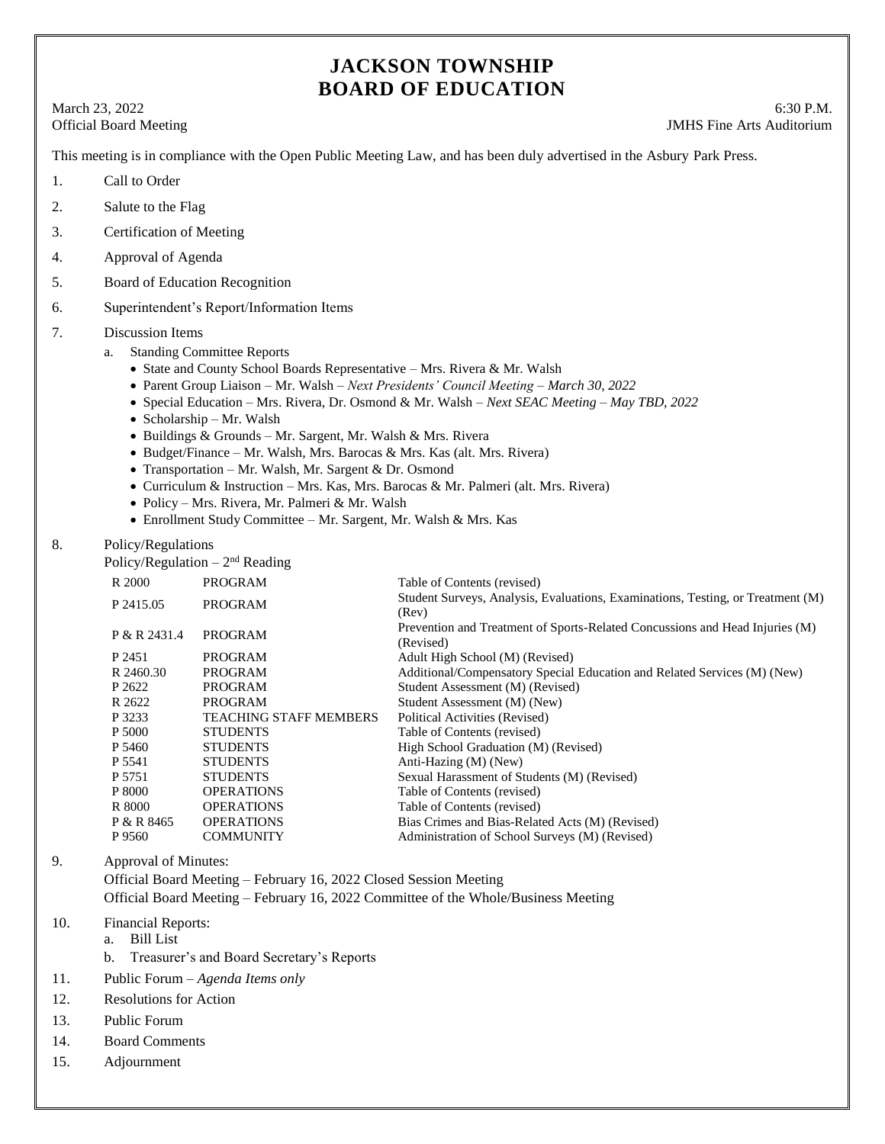# **JACKSON TOWNSHIP BOARD OF EDUCATION**

March 23, 2022 6:30 P.M. Official Board Meeting **IMHS** Fine Arts Auditorium

This meeting is in compliance with the Open Public Meeting Law, and has been duly advertised in the Asbury Park Press.

- 1. Call to Order
- 2. Salute to the Flag
- 3. Certification of Meeting
- 4. Approval of Agenda
- 5. Board of Education Recognition
- 6. Superintendent's Report/Information Items
- 7. Discussion Items
	- a. Standing Committee Reports
		- State and County School Boards Representative Mrs. Rivera & Mr. Walsh
		- Parent Group Liaison Mr. Walsh *Next Presidents' Council Meeting – March 30, 2022*
		- Special Education Mrs. Rivera, Dr. Osmond & Mr. Walsh *Next SEAC Meeting – May TBD, 2022*
		- $\bullet$  Scholarship Mr. Walsh
		- Buildings & Grounds Mr. Sargent, Mr. Walsh & Mrs. Rivera
		- Budget/Finance Mr. Walsh, Mrs. Barocas & Mrs. Kas (alt. Mrs. Rivera)
		- Transportation Mr. Walsh, Mr. Sargent & Dr. Osmond
		- Curriculum & Instruction Mrs. Kas, Mrs. Barocas & Mr. Palmeri (alt. Mrs. Rivera)
		- Policy Mrs. Rivera, Mr. Palmeri & Mr. Walsh
		- Enrollment Study Committee Mr. Sargent, Mr. Walsh & Mrs. Kas
- 8. Policy/Regulations

Policy/Regulation  $-2<sup>nd</sup>$  Reading

| R 2000       | <b>PROGRAM</b>                | Table of Contents (revised)                                                               |
|--------------|-------------------------------|-------------------------------------------------------------------------------------------|
| P 2415.05    | PROGRAM                       | Student Surveys, Analysis, Evaluations, Examinations, Testing, or Treatment (M)<br>(Rev)  |
| P & R 2431.4 | <b>PROGRAM</b>                | Prevention and Treatment of Sports-Related Concussions and Head Injuries (M)<br>(Revised) |
| P 2451       | PROGRAM                       | Adult High School (M) (Revised)                                                           |
| R 2460.30    | PROGRAM                       | Additional/Compensatory Special Education and Related Services (M) (New)                  |
| P 2622       | PROGRAM                       | Student Assessment (M) (Revised)                                                          |
| R 2622       | <b>PROGRAM</b>                | Student Assessment (M) (New)                                                              |
| P 3233       | <b>TEACHING STAFF MEMBERS</b> | Political Activities (Revised)                                                            |
| P 5000       | <b>STUDENTS</b>               | Table of Contents (revised)                                                               |
| P 5460       | <b>STUDENTS</b>               | High School Graduation (M) (Revised)                                                      |
| P 5541       | <b>STUDENTS</b>               | Anti-Hazing (M) (New)                                                                     |
| P 5751       | <b>STUDENTS</b>               | Sexual Harassment of Students (M) (Revised)                                               |
| P 8000       | <b>OPERATIONS</b>             | Table of Contents (revised)                                                               |
| R 8000       | <b>OPERATIONS</b>             | Table of Contents (revised)                                                               |
| P & R 8465   | <b>OPERATIONS</b>             | Bias Crimes and Bias-Related Acts (M) (Revised)                                           |
| P 9560       | <b>COMMUNITY</b>              | Administration of School Surveys (M) (Revised)                                            |
|              |                               |                                                                                           |

9. Approval of Minutes: Official Board Meeting – February 16, 2022 Closed Session Meeting Official Board Meeting – February 16, 2022 Committee of the Whole/Business Meeting

- 10. Financial Reports:
	- a. Bill List
		- b. Treasurer's and Board Secretary's Reports
- 11. Public Forum *Agenda Items only*
- 12. Resolutions for Action
- 13. Public Forum
- 14. Board Comments
- 15. Adjournment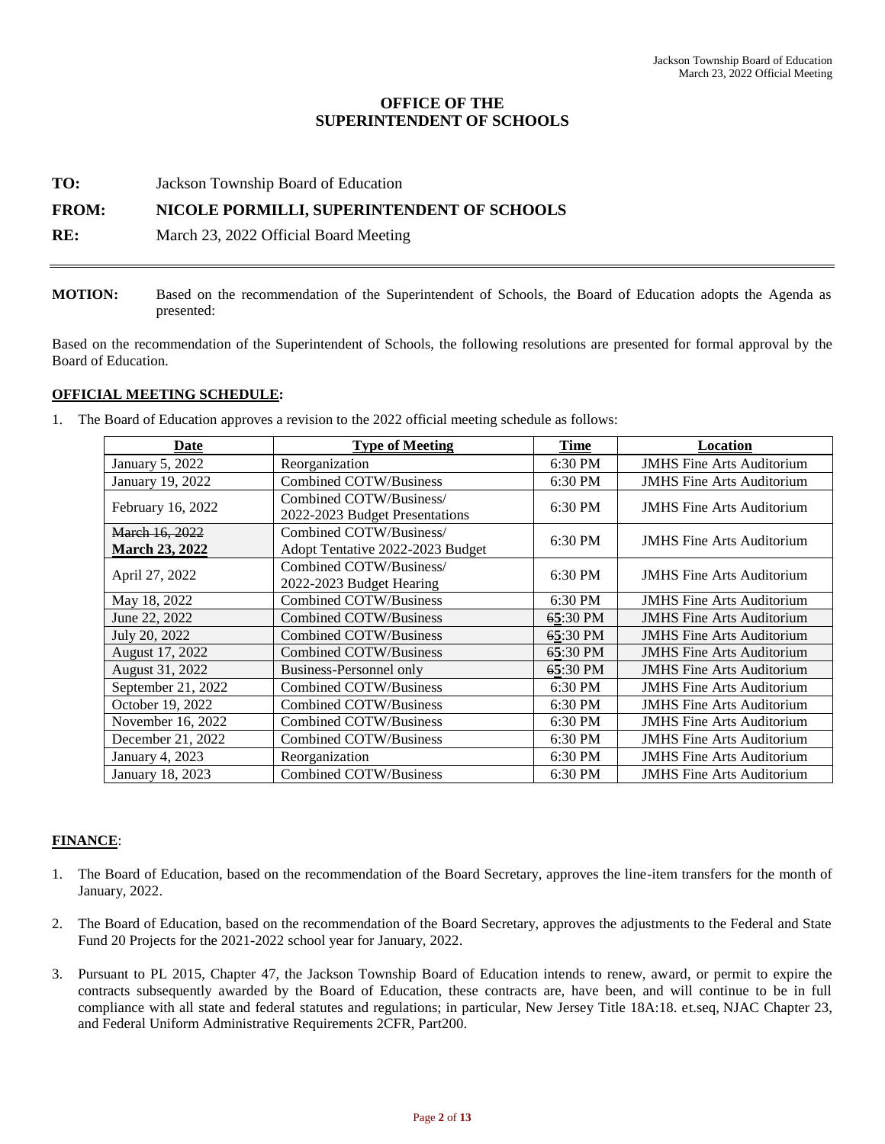# **OFFICE OF THE SUPERINTENDENT OF SCHOOLS**

**TO:** Jackson Township Board of Education

# **FROM: NICOLE PORMILLI, SUPERINTENDENT OF SCHOOLS**

**RE:** March 23, 2022 Official Board Meeting

**MOTION:** Based on the recommendation of the Superintendent of Schools, the Board of Education adopts the Agenda as presented:

Based on the recommendation of the Superintendent of Schools, the following resolutions are presented for formal approval by the Board of Education.

# **OFFICIAL MEETING SCHEDULE:**

1. The Board of Education approves a revision to the 2022 official meeting schedule as follows:

| Date                  | <b>Type of Meeting</b>           | <b>Time</b> | Location                         |  |
|-----------------------|----------------------------------|-------------|----------------------------------|--|
| January 5, 2022       | Reorganization                   | 6:30 PM     | <b>JMHS</b> Fine Arts Auditorium |  |
| January 19, 2022      | Combined COTW/Business           | 6:30 PM     | <b>JMHS</b> Fine Arts Auditorium |  |
| February 16, 2022     | Combined COTW/Business/          | 6:30 PM     | <b>JMHS</b> Fine Arts Auditorium |  |
|                       | 2022-2023 Budget Presentations   |             |                                  |  |
| March 16, 2022        | Combined COTW/Business/          | 6:30 PM     | <b>JMHS</b> Fine Arts Auditorium |  |
| <b>March 23, 2022</b> | Adopt Tentative 2022-2023 Budget |             |                                  |  |
| April 27, 2022        | Combined COTW/Business/          | 6:30 PM     | <b>JMHS</b> Fine Arts Auditorium |  |
|                       | 2022-2023 Budget Hearing         |             |                                  |  |
| May 18, 2022          | Combined COTW/Business           | 6:30 PM     | <b>JMHS</b> Fine Arts Auditorium |  |
| June 22, 2022         | Combined COTW/Business           | 65:30 PM    | <b>JMHS</b> Fine Arts Auditorium |  |
| July 20, 2022         | Combined COTW/Business           | 65:30 PM    | <b>JMHS</b> Fine Arts Auditorium |  |
| August 17, 2022       | Combined COTW/Business           | 65:30 PM    | <b>JMHS</b> Fine Arts Auditorium |  |
| August 31, 2022       | Business-Personnel only          | 65:30 PM    | <b>JMHS</b> Fine Arts Auditorium |  |
| September 21, 2022    | Combined COTW/Business           | 6:30 PM     | <b>JMHS</b> Fine Arts Auditorium |  |
| October 19, 2022      | Combined COTW/Business           | 6:30 PM     | <b>JMHS</b> Fine Arts Auditorium |  |
| November 16, 2022     | Combined COTW/Business           | 6:30 PM     | <b>JMHS</b> Fine Arts Auditorium |  |
| December 21, 2022     | Combined COTW/Business           | 6:30 PM     | <b>JMHS Fine Arts Auditorium</b> |  |
| January 4, 2023       | Reorganization                   | 6:30 PM     | <b>JMHS</b> Fine Arts Auditorium |  |
| January 18, 2023      | <b>Combined COTW/Business</b>    | 6:30 PM     | <b>JMHS Fine Arts Auditorium</b> |  |

# **FINANCE**:

- 1. The Board of Education, based on the recommendation of the Board Secretary, approves the line-item transfers for the month of January, 2022.
- 2. The Board of Education, based on the recommendation of the Board Secretary, approves the adjustments to the Federal and State Fund 20 Projects for the 2021-2022 school year for January, 2022.
- 3. Pursuant to PL 2015, Chapter 47, the Jackson Township Board of Education intends to renew, award, or permit to expire the contracts subsequently awarded by the Board of Education, these contracts are, have been, and will continue to be in full compliance with all state and federal statutes and regulations; in particular, New Jersey Title 18A:18. et.seq, NJAC Chapter 23, and Federal Uniform Administrative Requirements 2CFR, Part200.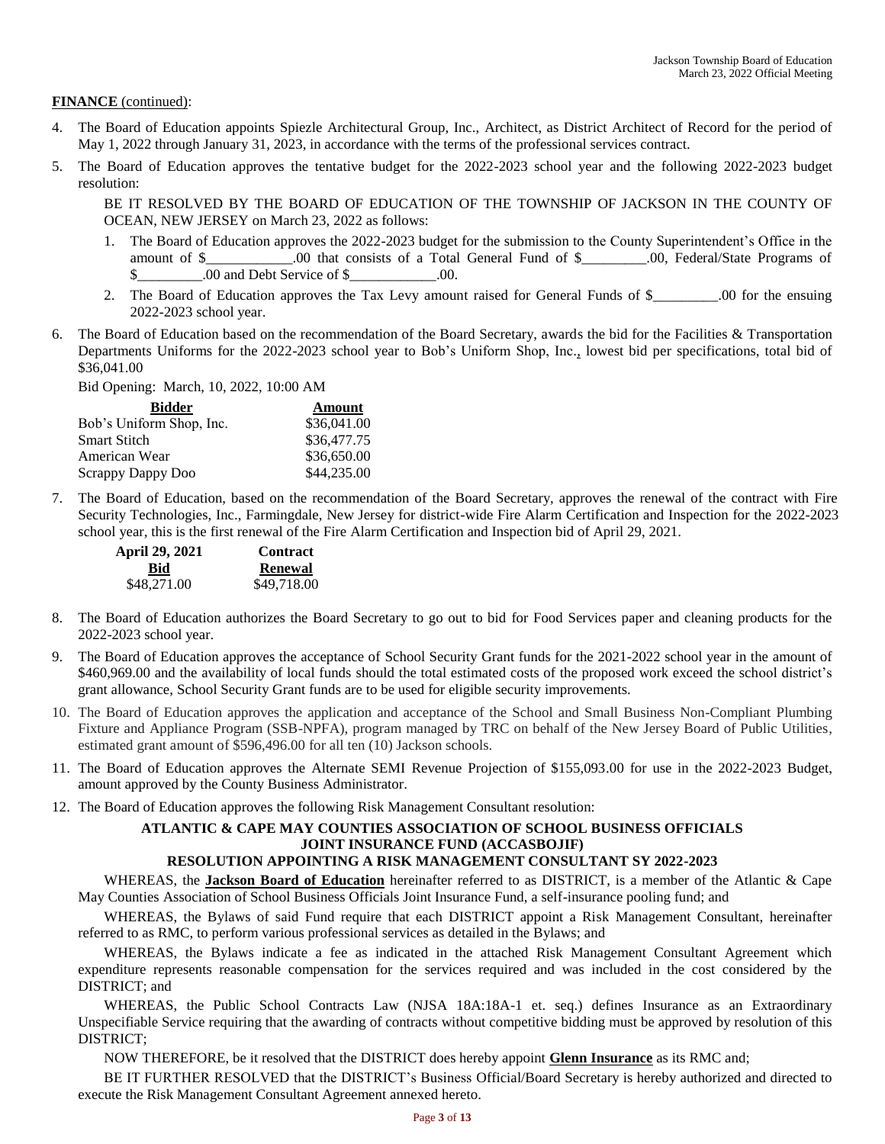# **FINANCE** (continued):

- 4. The Board of Education appoints Spiezle Architectural Group, Inc., Architect, as District Architect of Record for the period of May 1, 2022 through January 31, 2023, in accordance with the terms of the professional services contract.
- 5. The Board of Education approves the tentative budget for the 2022-2023 school year and the following 2022-2023 budget resolution:

BE IT RESOLVED BY THE BOARD OF EDUCATION OF THE TOWNSHIP OF JACKSON IN THE COUNTY OF OCEAN, NEW JERSEY on March 23, 2022 as follows:

- 1. The Board of Education approves the 2022-2023 budget for the submission to the County Superintendent's Office in the amount of \$\_\_\_\_\_\_\_\_\_\_\_\_.00 that consists of a Total General Fund of \$\_\_\_\_\_\_\_\_\_.00, Federal/State Programs of \$ .00 and Debt Service of \$ .00.
- 2. The Board of Education approves the Tax Levy amount raised for General Funds of \$ \_\_\_\_\_.00 for the ensuing 2022-2023 school year.
- 6. The Board of Education based on the recommendation of the Board Secretary, awards the bid for the Facilities & Transportation Departments Uniforms for the 2022-2023 school year to Bob's Uniform Shop, Inc., lowest bid per specifications, total bid of \$36,041.00

Bid Opening: March, 10, 2022, 10:00 AM

| <b>Bidder</b>            | Amount      |
|--------------------------|-------------|
| Bob's Uniform Shop, Inc. | \$36,041.00 |
| <b>Smart Stitch</b>      | \$36,477.75 |
| American Wear            | \$36,650.00 |
| Scrappy Dappy Doo        | \$44,235.00 |

7. The Board of Education, based on the recommendation of the Board Secretary, approves the renewal of the contract with Fire Security Technologies, Inc., Farmingdale, New Jersey for district-wide Fire Alarm Certification and Inspection for the 2022-2023 school year, this is the first renewal of the Fire Alarm Certification and Inspection bid of April 29, 2021.

| April 29, 2021 | <b>Contract</b> |
|----------------|-----------------|
| Bid            | <b>Renewal</b>  |
| \$48,271.00    | \$49,718.00     |

- 8. The Board of Education authorizes the Board Secretary to go out to bid for Food Services paper and cleaning products for the 2022-2023 school year.
- 9. The Board of Education approves the acceptance of School Security Grant funds for the 2021-2022 school year in the amount of \$460,969.00 and the availability of local funds should the total estimated costs of the proposed work exceed the school district's grant allowance, School Security Grant funds are to be used for eligible security improvements.
- 10. The Board of Education approves the application and acceptance of the School and Small Business Non-Compliant Plumbing Fixture and Appliance Program (SSB-NPFA), program managed by TRC on behalf of the New Jersey Board of Public Utilities, estimated grant amount of \$596,496.00 for all ten (10) Jackson schools.
- 11. The Board of Education approves the Alternate SEMI Revenue Projection of \$155,093.00 for use in the 2022-2023 Budget, amount approved by the County Business Administrator.
- 12. The Board of Education approves the following Risk Management Consultant resolution:

# **ATLANTIC & CAPE MAY COUNTIES ASSOCIATION OF SCHOOL BUSINESS OFFICIALS JOINT INSURANCE FUND (ACCASBOJIF)**

# **RESOLUTION APPOINTING A RISK MANAGEMENT CONSULTANT SY 2022-2023**

WHEREAS, the **Jackson Board of Education** hereinafter referred to as DISTRICT, is a member of the Atlantic & Cape May Counties Association of School Business Officials Joint Insurance Fund, a self-insurance pooling fund; and

WHEREAS, the Bylaws of said Fund require that each DISTRICT appoint a Risk Management Consultant, hereinafter referred to as RMC, to perform various professional services as detailed in the Bylaws; and

WHEREAS, the Bylaws indicate a fee as indicated in the attached Risk Management Consultant Agreement which expenditure represents reasonable compensation for the services required and was included in the cost considered by the DISTRICT; and

WHEREAS, the Public School Contracts Law (NJSA 18A:18A-1 et. seq.) defines Insurance as an Extraordinary Unspecifiable Service requiring that the awarding of contracts without competitive bidding must be approved by resolution of this DISTRICT;

NOW THEREFORE, be it resolved that the DISTRICT does hereby appoint **Glenn Insurance** as its RMC and;

BE IT FURTHER RESOLVED that the DISTRICT's Business Official/Board Secretary is hereby authorized and directed to execute the Risk Management Consultant Agreement annexed hereto.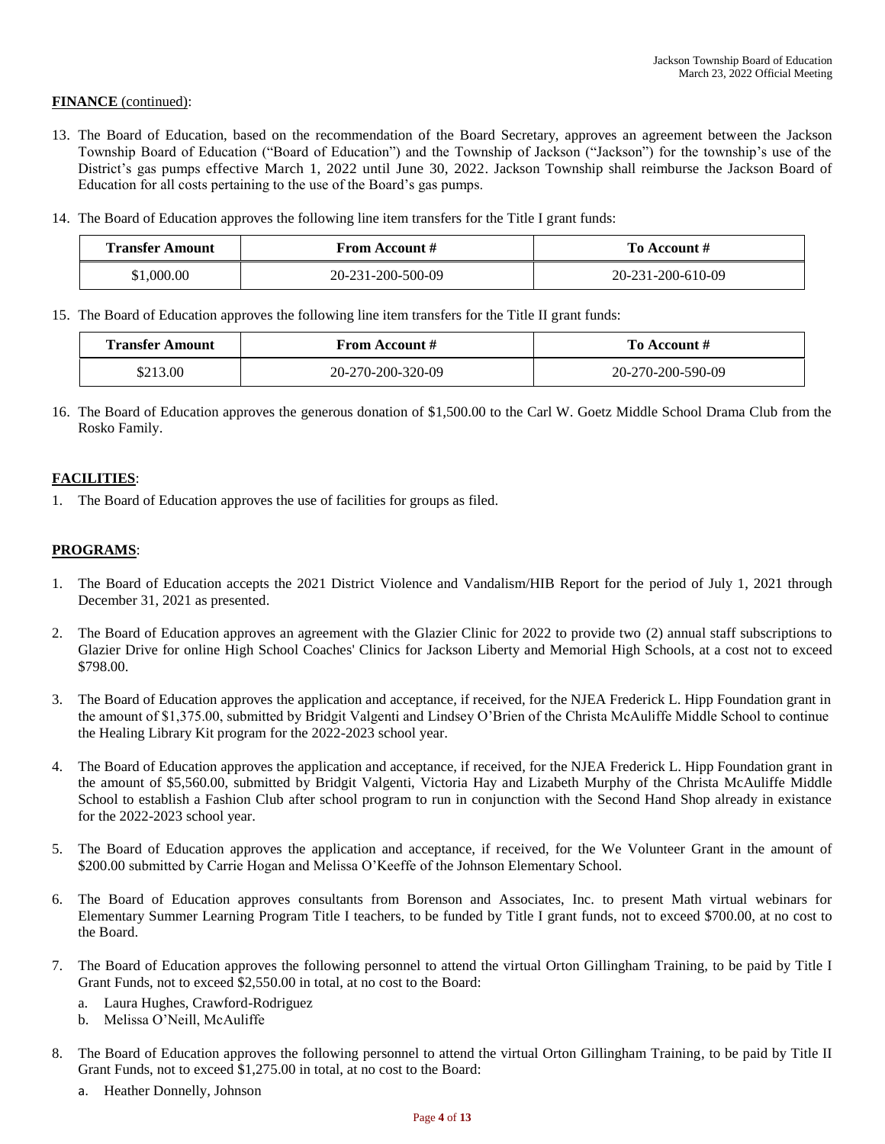# **FINANCE** (continued):

- 13. The Board of Education, based on the recommendation of the Board Secretary, approves an agreement between the Jackson Township Board of Education ("Board of Education") and the Township of Jackson ("Jackson") for the township's use of the District's gas pumps effective March 1, 2022 until June 30, 2022. Jackson Township shall reimburse the Jackson Board of Education for all costs pertaining to the use of the Board's gas pumps.
- 14. The Board of Education approves the following line item transfers for the Title I grant funds:

| <b>Transfer Amount</b> | From Account #    | To Account #      |  |
|------------------------|-------------------|-------------------|--|
| \$1,000.00             | 20-231-200-500-09 | 20-231-200-610-09 |  |

15. The Board of Education approves the following line item transfers for the Title II grant funds:

| <b>Transfer Amount</b><br><b>From Account #</b> |                   | To Account #      |
|-------------------------------------------------|-------------------|-------------------|
| \$213.00                                        | 20-270-200-320-09 | 20-270-200-590-09 |

16. The Board of Education approves the generous donation of \$1,500.00 to the Carl W. Goetz Middle School Drama Club from the Rosko Family.

# **FACILITIES**:

1. The Board of Education approves the use of facilities for groups as filed.

# **PROGRAMS**:

- 1. The Board of Education accepts the 2021 District Violence and Vandalism/HIB Report for the period of July 1, 2021 through December 31, 2021 as presented.
- 2. The Board of Education approves an agreement with the Glazier Clinic for 2022 to provide two (2) annual staff subscriptions to Glazier Drive for online High School Coaches' Clinics for Jackson Liberty and Memorial High Schools, at a cost not to exceed \$798.00.
- 3. The Board of Education approves the application and acceptance, if received, for the NJEA Frederick L. Hipp Foundation grant in the amount of \$1,375.00, submitted by Bridgit Valgenti and Lindsey O'Brien of the Christa McAuliffe Middle School to continue the Healing Library Kit program for the 2022-2023 school year.
- 4. The Board of Education approves the application and acceptance, if received, for the NJEA Frederick L. Hipp Foundation grant in the amount of \$5,560.00, submitted by Bridgit Valgenti, Victoria Hay and Lizabeth Murphy of the Christa McAuliffe Middle School to establish a Fashion Club after school program to run in conjunction with the Second Hand Shop already in existance for the 2022-2023 school year.
- 5. The Board of Education approves the application and acceptance, if received, for the We Volunteer Grant in the amount of \$200.00 submitted by Carrie Hogan and Melissa O'Keeffe of the Johnson Elementary School.
- 6. The Board of Education approves consultants from Borenson and Associates, Inc. to present Math virtual webinars for Elementary Summer Learning Program Title I teachers, to be funded by Title I grant funds, not to exceed \$700.00, at no cost to the Board.
- 7. The Board of Education approves the following personnel to attend the virtual Orton Gillingham Training, to be paid by Title I Grant Funds, not to exceed \$2,550.00 in total, at no cost to the Board:
	- a. Laura Hughes, Crawford-Rodriguez
	- b. Melissa O'Neill, McAuliffe
- 8. The Board of Education approves the following personnel to attend the virtual Orton Gillingham Training, to be paid by Title II Grant Funds, not to exceed \$1,275.00 in total, at no cost to the Board:
	- a. Heather Donnelly, Johnson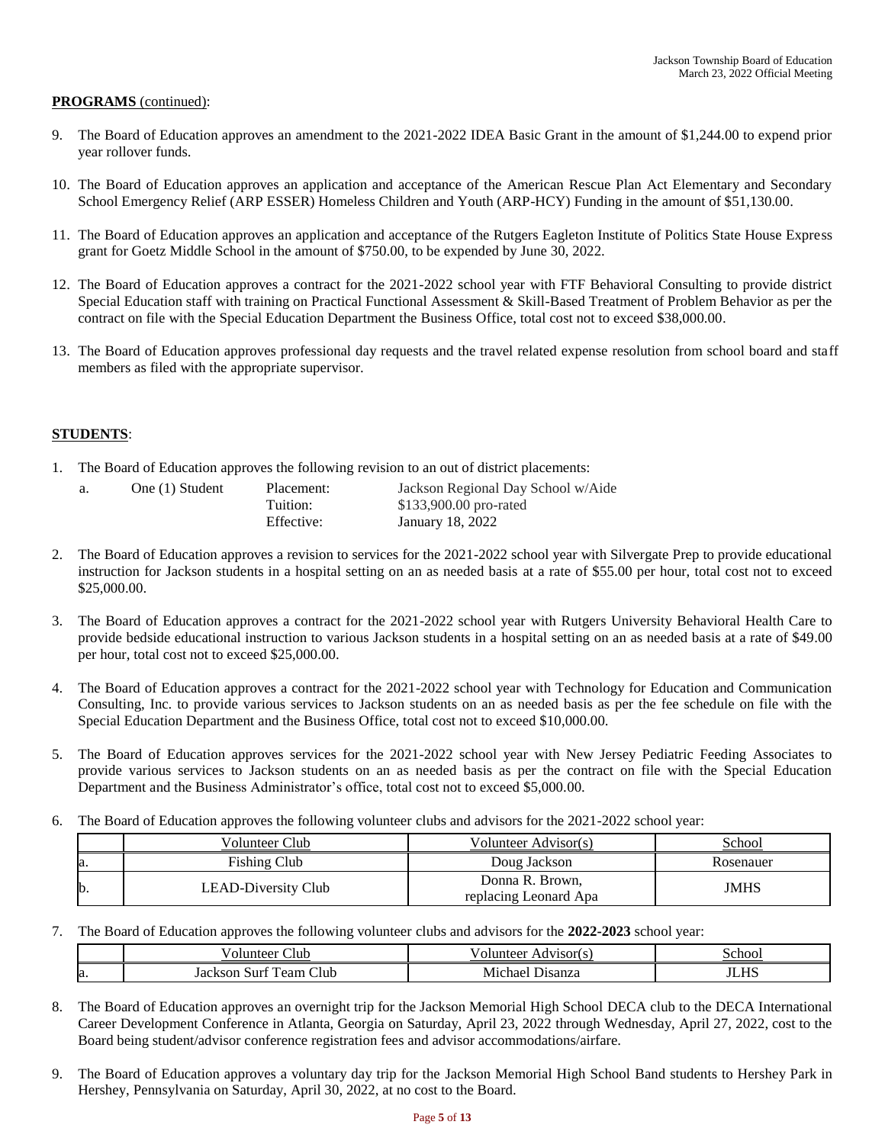# **PROGRAMS** (continued):

- The Board of Education approves an amendment to the 2021-2022 IDEA Basic Grant in the amount of \$1,244.00 to expend prior year rollover funds.
- 10. The Board of Education approves an application and acceptance of the American Rescue Plan Act Elementary and Secondary School Emergency Relief (ARP ESSER) Homeless Children and Youth (ARP-HCY) Funding in the amount of \$51,130.00.
- 11. The Board of Education approves an application and acceptance of the Rutgers Eagleton Institute of Politics State House Express grant for Goetz Middle School in the amount of \$750.00, to be expended by June 30, 2022.
- 12. The Board of Education approves a contract for the 2021-2022 school year with FTF Behavioral Consulting to provide district Special Education staff with training on Practical Functional Assessment & Skill-Based Treatment of Problem Behavior as per the contract on file with the Special Education Department the Business Office, total cost not to exceed \$38,000.00.
- 13. The Board of Education approves professional day requests and the travel related expense resolution from school board and staff members as filed with the appropriate supervisor.

# **STUDENTS**:

1. The Board of Education approves the following revision to an out of district placements:

| a. | One (1) Student | Placement: | Jackson Regional Day School w/Aide |
|----|-----------------|------------|------------------------------------|
|    |                 | Tuition:   | \$133,900.00 pro-rated             |
|    |                 | Effective: | January 18, 2022                   |

- 2. The Board of Education approves a revision to services for the 2021-2022 school year with Silvergate Prep to provide educational instruction for Jackson students in a hospital setting on an as needed basis at a rate of \$55.00 per hour, total cost not to exceed \$25,000.00.
- 3. The Board of Education approves a contract for the 2021-2022 school year with Rutgers University Behavioral Health Care to provide bedside educational instruction to various Jackson students in a hospital setting on an as needed basis at a rate of \$49.00 per hour, total cost not to exceed \$25,000.00.
- 4. The Board of Education approves a contract for the 2021-2022 school year with Technology for Education and Communication Consulting, Inc. to provide various services to Jackson students on an as needed basis as per the fee schedule on file with the Special Education Department and the Business Office, total cost not to exceed \$10,000.00.
- 5. The Board of Education approves services for the 2021-2022 school year with New Jersey Pediatric Feeding Associates to provide various services to Jackson students on an as needed basis as per the contract on file with the Special Education Department and the Business Administrator's office, total cost not to exceed \$5,000.00.
- 6. The Board of Education approves the following volunteer clubs and advisors for the 2021-2022 school year:

|    | Volunteer Club      | Volunteer Advisor(s)                     | School    |
|----|---------------------|------------------------------------------|-----------|
| a. | <b>Fishing Club</b> | Doug Jackson                             | Rosenauer |
|    | LEAD-Diversity Club | Donna R. Brown,<br>replacing Leonard Apa | JMHS      |

7. The Board of Education approves the following volunteer clubs and advisors for the **2022-2023** school year:

|     | lut                                                              | dvisor(s.          | ∵choo∟                     |
|-----|------------------------------------------------------------------|--------------------|----------------------------|
|     | м                                                                | ,,,,               | ``                         |
| la. | $\sim$<br>-<br>Surt<br>1 eam<br>:sor<br>Club<br>Jac<br>. .<br>л. | Michae:<br>Jısanza | $\mathbf{v}$<br>.<br>$-11$ |

- 8. The Board of Education approves an overnight trip for the Jackson Memorial High School DECA club to the DECA International Career Development Conference in Atlanta, Georgia on Saturday, April 23, 2022 through Wednesday, April 27, 2022, cost to the Board being student/advisor conference registration fees and advisor accommodations/airfare.
- 9. The Board of Education approves a voluntary day trip for the Jackson Memorial High School Band students to Hershey Park in Hershey, Pennsylvania on Saturday, April 30, 2022, at no cost to the Board.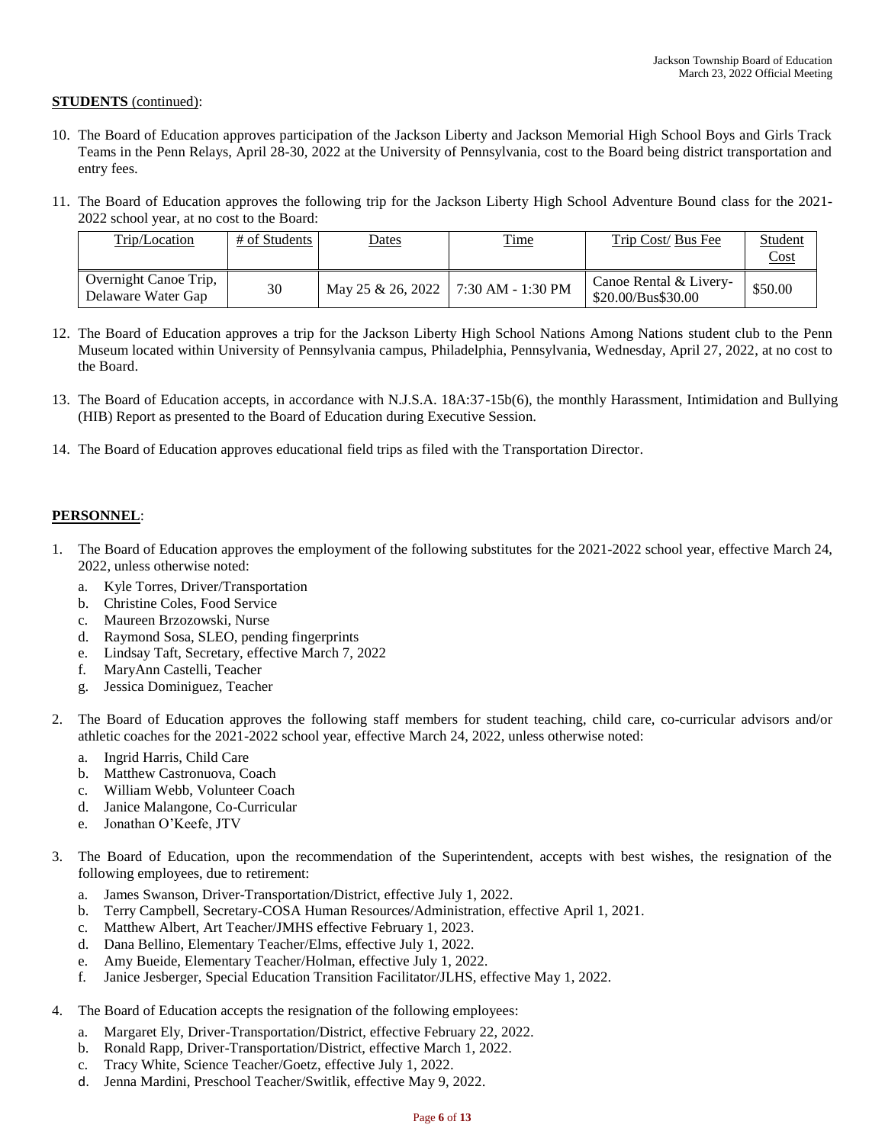# **STUDENTS** (continued):

- 10. The Board of Education approves participation of the Jackson Liberty and Jackson Memorial High School Boys and Girls Track Teams in the Penn Relays, April 28-30, 2022 at the University of Pennsylvania, cost to the Board being district transportation and entry fees.
- 11. The Board of Education approves the following trip for the Jackson Liberty High School Adventure Bound class for the 2021- 2022 school year, at no cost to the Board:

| Trip/Location                               | # of Students | <u>Dates</u>      | <b>Time</b>       | Trip Cost/ Bus Fee                           | Student<br>Cost |
|---------------------------------------------|---------------|-------------------|-------------------|----------------------------------------------|-----------------|
| Overnight Canoe Trip.<br>Delaware Water Gap | 30            | May 25 & 26, 2022 | 7:30 AM - 1:30 PM | Canoe Rental & Livery-<br>\$20.00/Bus\$30.00 | \$50.00         |

- 12. The Board of Education approves a trip for the Jackson Liberty High School Nations Among Nations student club to the Penn Museum located within University of Pennsylvania campus, Philadelphia, Pennsylvania, Wednesday, April 27, 2022, at no cost to the Board.
- 13. The Board of Education accepts, in accordance with N.J.S.A. 18A:37-15b(6), the monthly Harassment, Intimidation and Bullying (HIB) Report as presented to the Board of Education during Executive Session.
- 14. The Board of Education approves educational field trips as filed with the Transportation Director.

# **PERSONNEL**:

- 1. The Board of Education approves the employment of the following substitutes for the 2021-2022 school year, effective March 24, 2022, unless otherwise noted:
	- a. Kyle Torres, Driver/Transportation
	- b. Christine Coles, Food Service
	- c. Maureen Brzozowski, Nurse
	- d. Raymond Sosa, SLEO, pending fingerprints
	- e. Lindsay Taft, Secretary, effective March 7, 2022
	- f. MaryAnn Castelli, Teacher
	- g. Jessica Dominiguez, Teacher
- 2. The Board of Education approves the following staff members for student teaching, child care, co-curricular advisors and/or athletic coaches for the 2021-2022 school year, effective March 24, 2022, unless otherwise noted:
	- a. Ingrid Harris, Child Care
	- b. Matthew Castronuova, Coach
	- c. William Webb, Volunteer Coach
	- d. Janice Malangone, Co-Curricular
	- e. Jonathan O'Keefe, JTV
- 3. The Board of Education, upon the recommendation of the Superintendent, accepts with best wishes, the resignation of the following employees, due to retirement:
	- a. James Swanson, Driver-Transportation/District, effective July 1, 2022.
	- b. Terry Campbell, Secretary-COSA Human Resources/Administration, effective April 1, 2021.
	- c. Matthew Albert, Art Teacher/JMHS effective February 1, 2023.
	- d. Dana Bellino, Elementary Teacher/Elms, effective July 1, 2022.
	- e. Amy Bueide, Elementary Teacher/Holman, effective July 1, 2022.
	- f. Janice Jesberger, Special Education Transition Facilitator/JLHS, effective May 1, 2022.
- 4. The Board of Education accepts the resignation of the following employees:
	- a. Margaret Ely, Driver-Transportation/District, effective February 22, 2022.
	- b. Ronald Rapp, Driver-Transportation/District, effective March 1, 2022.
	- c. Tracy White, Science Teacher/Goetz, effective July 1, 2022.
	- d. Jenna Mardini, Preschool Teacher/Switlik, effective May 9, 2022.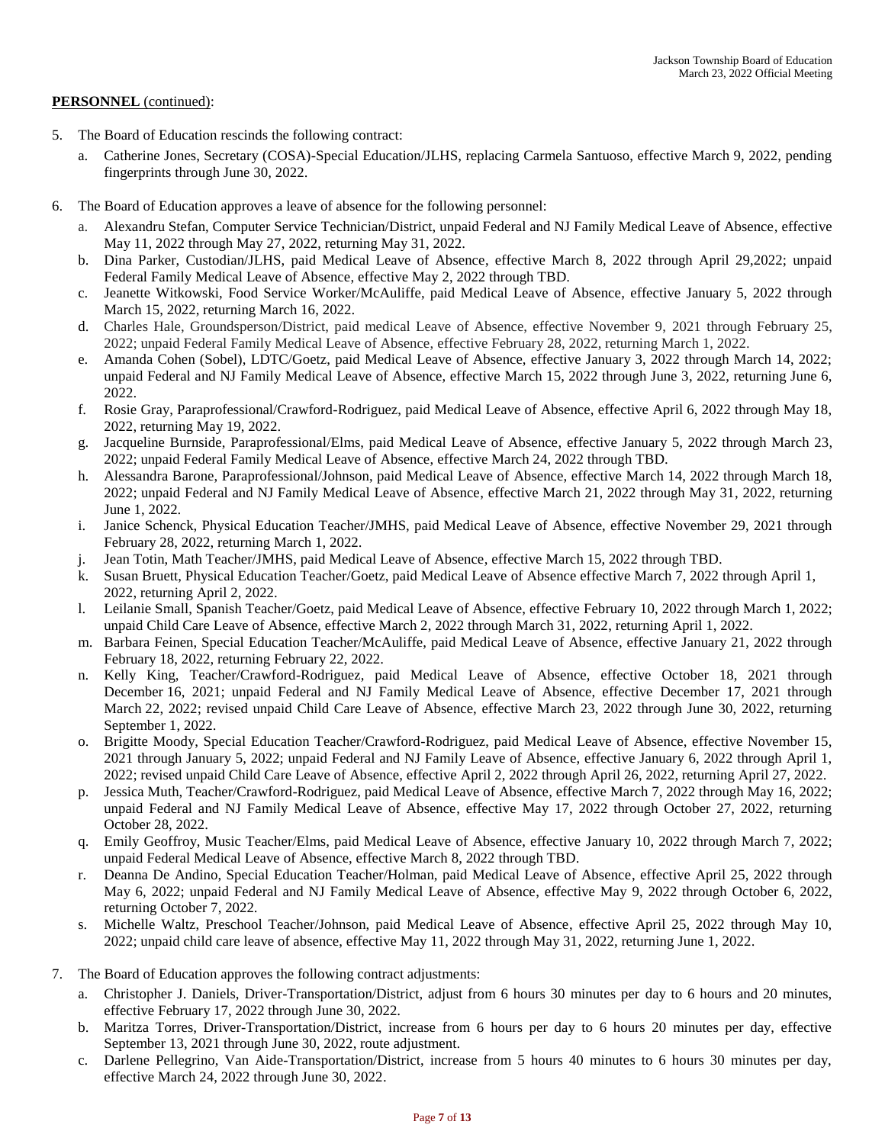- 5. The Board of Education rescinds the following contract:
	- a. Catherine Jones, Secretary (COSA)-Special Education/JLHS, replacing Carmela Santuoso, effective March 9, 2022, pending fingerprints through June 30, 2022.
- 6. The Board of Education approves a leave of absence for the following personnel:
	- a. Alexandru Stefan, Computer Service Technician/District, unpaid Federal and NJ Family Medical Leave of Absence, effective May 11, 2022 through May 27, 2022, returning May 31, 2022.
	- b. Dina Parker, Custodian/JLHS, paid Medical Leave of Absence, effective March 8, 2022 through April 29,2022; unpaid Federal Family Medical Leave of Absence, effective May 2, 2022 through TBD.
	- c. Jeanette Witkowski, Food Service Worker/McAuliffe, paid Medical Leave of Absence, effective January 5, 2022 through March 15, 2022, returning March 16, 2022.
	- d. Charles Hale, Groundsperson/District, paid medical Leave of Absence, effective November 9, 2021 through February 25, 2022; unpaid Federal Family Medical Leave of Absence, effective February 28, 2022, returning March 1, 2022.
	- e. Amanda Cohen (Sobel), LDTC/Goetz, paid Medical Leave of Absence, effective January 3, 2022 through March 14, 2022; unpaid Federal and NJ Family Medical Leave of Absence, effective March 15, 2022 through June 3, 2022, returning June 6, 2022.
	- f. Rosie Gray, Paraprofessional/Crawford-Rodriguez, paid Medical Leave of Absence, effective April 6, 2022 through May 18, 2022, returning May 19, 2022.
	- g. Jacqueline Burnside, Paraprofessional/Elms, paid Medical Leave of Absence, effective January 5, 2022 through March 23, 2022; unpaid Federal Family Medical Leave of Absence, effective March 24, 2022 through TBD.
	- h. Alessandra Barone, Paraprofessional/Johnson, paid Medical Leave of Absence, effective March 14, 2022 through March 18, 2022; unpaid Federal and NJ Family Medical Leave of Absence, effective March 21, 2022 through May 31, 2022, returning June 1, 2022.
	- i. Janice Schenck, Physical Education Teacher/JMHS, paid Medical Leave of Absence, effective November 29, 2021 through February 28, 2022, returning March 1, 2022.
	- j. Jean Totin, Math Teacher/JMHS, paid Medical Leave of Absence, effective March 15, 2022 through TBD.
	- k. Susan Bruett, Physical Education Teacher/Goetz, paid Medical Leave of Absence effective March 7, 2022 through April 1, 2022, returning April 2, 2022.
	- l. Leilanie Small, Spanish Teacher/Goetz, paid Medical Leave of Absence, effective February 10, 2022 through March 1, 2022; unpaid Child Care Leave of Absence, effective March 2, 2022 through March 31, 2022, returning April 1, 2022.
	- m. Barbara Feinen, Special Education Teacher/McAuliffe, paid Medical Leave of Absence, effective January 21, 2022 through February 18, 2022, returning February 22, 2022.
	- n. Kelly King, Teacher/Crawford-Rodriguez, paid Medical Leave of Absence, effective October 18, 2021 through December 16, 2021; unpaid Federal and NJ Family Medical Leave of Absence, effective December 17, 2021 through March 22, 2022; revised unpaid Child Care Leave of Absence, effective March 23, 2022 through June 30, 2022, returning September 1, 2022.
	- o. Brigitte Moody, Special Education Teacher/Crawford-Rodriguez, paid Medical Leave of Absence, effective November 15, 2021 through January 5, 2022; unpaid Federal and NJ Family Leave of Absence, effective January 6, 2022 through April 1, 2022; revised unpaid Child Care Leave of Absence, effective April 2, 2022 through April 26, 2022, returning April 27, 2022.
	- p. Jessica Muth, Teacher/Crawford-Rodriguez, paid Medical Leave of Absence, effective March 7, 2022 through May 16, 2022; unpaid Federal and NJ Family Medical Leave of Absence, effective May 17, 2022 through October 27, 2022, returning October 28, 2022.
	- q. Emily Geoffroy, Music Teacher/Elms, paid Medical Leave of Absence, effective January 10, 2022 through March 7, 2022; unpaid Federal Medical Leave of Absence, effective March 8, 2022 through TBD.
	- r. Deanna De Andino, Special Education Teacher/Holman, paid Medical Leave of Absence, effective April 25, 2022 through May 6, 2022; unpaid Federal and NJ Family Medical Leave of Absence, effective May 9, 2022 through October 6, 2022, returning October 7, 2022.
	- s. Michelle Waltz, Preschool Teacher/Johnson, paid Medical Leave of Absence, effective April 25, 2022 through May 10, 2022; unpaid child care leave of absence, effective May 11, 2022 through May 31, 2022, returning June 1, 2022.
- 7. The Board of Education approves the following contract adjustments:
	- a. Christopher J. Daniels, Driver-Transportation/District, adjust from 6 hours 30 minutes per day to 6 hours and 20 minutes, effective February 17, 2022 through June 30, 2022.
	- b. Maritza Torres, Driver-Transportation/District, increase from 6 hours per day to 6 hours 20 minutes per day, effective September 13, 2021 through June 30, 2022, route adjustment.
	- c. Darlene Pellegrino, Van Aide-Transportation/District, increase from 5 hours 40 minutes to 6 hours 30 minutes per day, effective March 24, 2022 through June 30, 2022.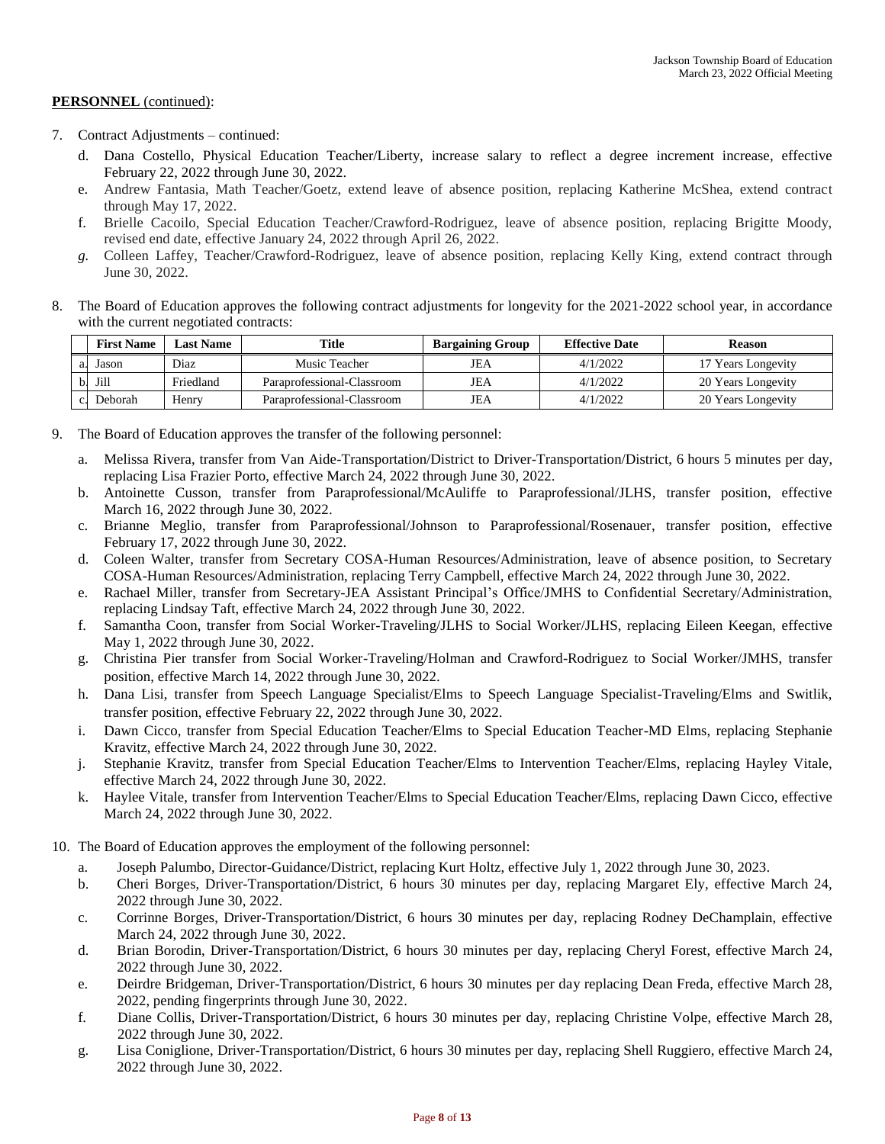- 7. Contract Adjustments continued:
	- d. Dana Costello, Physical Education Teacher/Liberty, increase salary to reflect a degree increment increase, effective February 22, 2022 through June 30, 2022.
	- e. Andrew Fantasia, Math Teacher/Goetz, extend leave of absence position, replacing Katherine McShea, extend contract through May 17, 2022.
	- f. Brielle Cacoilo, Special Education Teacher/Crawford-Rodriguez, leave of absence position, replacing Brigitte Moody, revised end date, effective January 24, 2022 through April 26, 2022.
	- *g.* Colleen Laffey, Teacher/Crawford-Rodriguez, leave of absence position, replacing Kelly King, extend contract through June 30, 2022.
- 8. The Board of Education approves the following contract adjustments for longevity for the 2021-2022 school year, in accordance with the current negotiated contracts:

|                | <b>First Name</b> | Last Name | Title                      | <b>Bargaining Group</b> | <b>Effective Date</b> | Reason             |
|----------------|-------------------|-----------|----------------------------|-------------------------|-----------------------|--------------------|
| a.             | Jason             | Diaz      | Music Teacher              | JEA                     | 4/1/2022              | 17 Years Longevity |
|                | Jill              | Friedland | Paraprofessional-Classroom | JEA                     | 4/1/2022              | 20 Years Longevity |
| $\mathbf{c}$ . | Deborah           | Henry     | Paraprofessional-Classroom | JEA                     | 4/1/2022              | 20 Years Longevity |

- 9. The Board of Education approves the transfer of the following personnel:
	- a. Melissa Rivera, transfer from Van Aide-Transportation/District to Driver-Transportation/District, 6 hours 5 minutes per day, replacing Lisa Frazier Porto, effective March 24, 2022 through June 30, 2022.
	- b. Antoinette Cusson, transfer from Paraprofessional/McAuliffe to Paraprofessional/JLHS, transfer position, effective March 16, 2022 through June 30, 2022.
	- c. Brianne Meglio, transfer from Paraprofessional/Johnson to Paraprofessional/Rosenauer, transfer position, effective February 17, 2022 through June 30, 2022.
	- d. Coleen Walter, transfer from Secretary COSA-Human Resources/Administration, leave of absence position, to Secretary COSA-Human Resources/Administration, replacing Terry Campbell, effective March 24, 2022 through June 30, 2022.
	- e. Rachael Miller, transfer from Secretary-JEA Assistant Principal's Office/JMHS to Confidential Secretary/Administration, replacing Lindsay Taft, effective March 24, 2022 through June 30, 2022.
	- f. Samantha Coon, transfer from Social Worker-Traveling/JLHS to Social Worker/JLHS, replacing Eileen Keegan, effective May 1, 2022 through June 30, 2022.
	- g. Christina Pier transfer from Social Worker-Traveling/Holman and Crawford-Rodriguez to Social Worker/JMHS, transfer position, effective March 14, 2022 through June 30, 2022.
	- h. Dana Lisi, transfer from Speech Language Specialist/Elms to Speech Language Specialist-Traveling/Elms and Switlik, transfer position, effective February 22, 2022 through June 30, 2022.
	- i. Dawn Cicco, transfer from Special Education Teacher/Elms to Special Education Teacher-MD Elms, replacing Stephanie Kravitz, effective March 24, 2022 through June 30, 2022.
	- j. Stephanie Kravitz, transfer from Special Education Teacher/Elms to Intervention Teacher/Elms, replacing Hayley Vitale, effective March 24, 2022 through June 30, 2022.
	- k. Haylee Vitale, transfer from Intervention Teacher/Elms to Special Education Teacher/Elms, replacing Dawn Cicco, effective March 24, 2022 through June 30, 2022.
- 10. The Board of Education approves the employment of the following personnel:
	- a. Joseph Palumbo, Director-Guidance/District, replacing Kurt Holtz, effective July 1, 2022 through June 30, 2023.
	- b. Cheri Borges, Driver-Transportation/District, 6 hours 30 minutes per day, replacing Margaret Ely, effective March 24, 2022 through June 30, 2022.
	- c. Corrinne Borges, Driver-Transportation/District, 6 hours 30 minutes per day, replacing Rodney DeChamplain, effective March 24, 2022 through June 30, 2022.
	- d. Brian Borodin, Driver-Transportation/District, 6 hours 30 minutes per day, replacing Cheryl Forest, effective March 24, 2022 through June 30, 2022.
	- e. Deirdre Bridgeman, Driver-Transportation/District, 6 hours 30 minutes per day replacing Dean Freda, effective March 28, 2022, pending fingerprints through June 30, 2022.
	- f. Diane Collis, Driver-Transportation/District, 6 hours 30 minutes per day, replacing Christine Volpe, effective March 28, 2022 through June 30, 2022.
	- g. Lisa Coniglione, Driver-Transportation/District, 6 hours 30 minutes per day, replacing Shell Ruggiero, effective March 24, 2022 through June 30, 2022.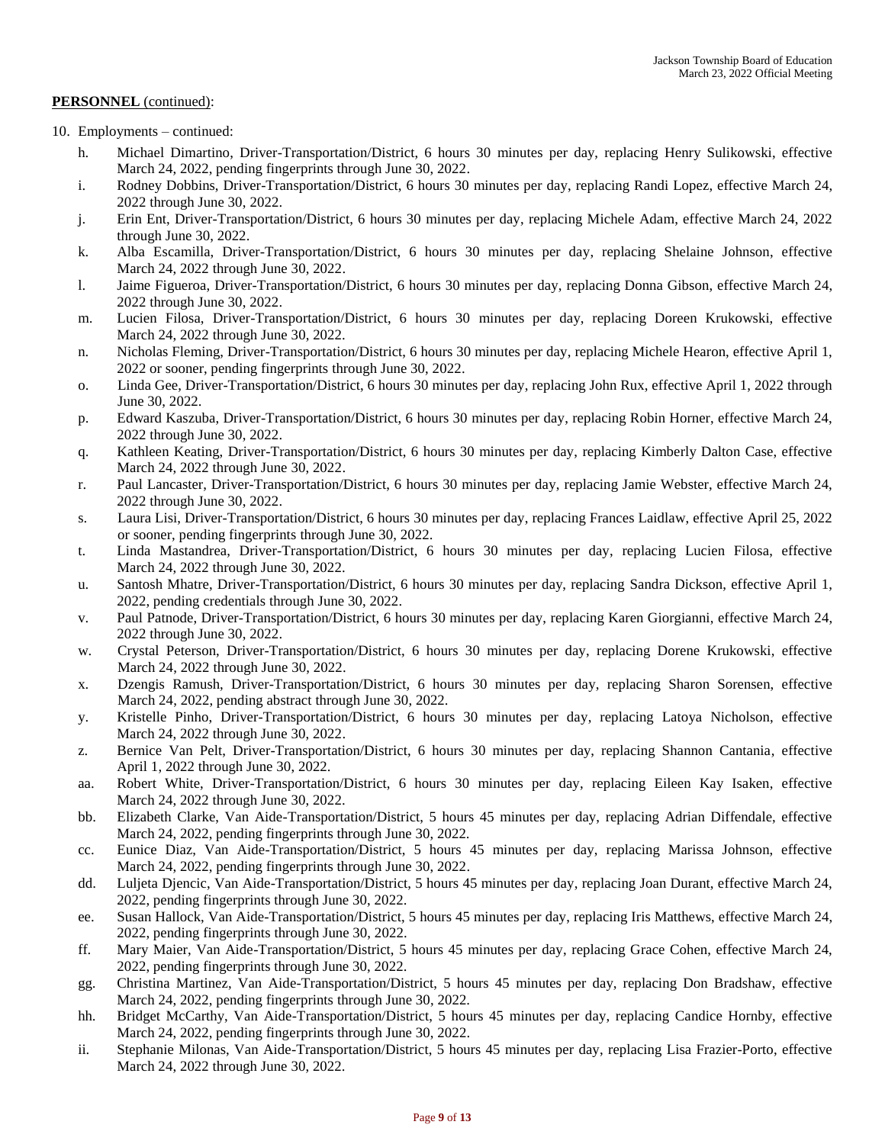- 10. Employments continued:
	- h. Michael Dimartino, Driver-Transportation/District, 6 hours 30 minutes per day, replacing Henry Sulikowski, effective March 24, 2022, pending fingerprints through June 30, 2022.
	- i. Rodney Dobbins, Driver-Transportation/District, 6 hours 30 minutes per day, replacing Randi Lopez, effective March 24, 2022 through June 30, 2022.
	- j. Erin Ent, Driver-Transportation/District, 6 hours 30 minutes per day, replacing Michele Adam, effective March 24, 2022 through June 30, 2022.
	- k. Alba Escamilla, Driver-Transportation/District, 6 hours 30 minutes per day, replacing Shelaine Johnson, effective March 24, 2022 through June 30, 2022.
	- l. Jaime Figueroa, Driver-Transportation/District, 6 hours 30 minutes per day, replacing Donna Gibson, effective March 24, 2022 through June 30, 2022.
	- m. Lucien Filosa, Driver-Transportation/District, 6 hours 30 minutes per day, replacing Doreen Krukowski, effective March 24, 2022 through June 30, 2022.
	- n. Nicholas Fleming, Driver-Transportation/District, 6 hours 30 minutes per day, replacing Michele Hearon, effective April 1, 2022 or sooner, pending fingerprints through June 30, 2022.
	- o. Linda Gee, Driver-Transportation/District, 6 hours 30 minutes per day, replacing John Rux, effective April 1, 2022 through June 30, 2022.
	- p. Edward Kaszuba, Driver-Transportation/District, 6 hours 30 minutes per day, replacing Robin Horner, effective March 24, 2022 through June 30, 2022.
	- q. Kathleen Keating, Driver-Transportation/District, 6 hours 30 minutes per day, replacing Kimberly Dalton Case, effective March 24, 2022 through June 30, 2022.
	- r. Paul Lancaster, Driver-Transportation/District, 6 hours 30 minutes per day, replacing Jamie Webster, effective March 24, 2022 through June 30, 2022.
	- s. Laura Lisi, Driver-Transportation/District, 6 hours 30 minutes per day, replacing Frances Laidlaw, effective April 25, 2022 or sooner, pending fingerprints through June 30, 2022.
	- t. Linda Mastandrea, Driver-Transportation/District, 6 hours 30 minutes per day, replacing Lucien Filosa, effective March 24, 2022 through June 30, 2022.
	- u. Santosh Mhatre, Driver-Transportation/District, 6 hours 30 minutes per day, replacing Sandra Dickson, effective April 1, 2022, pending credentials through June 30, 2022.
	- v. Paul Patnode, Driver-Transportation/District, 6 hours 30 minutes per day, replacing Karen Giorgianni, effective March 24, 2022 through June 30, 2022.
	- w. Crystal Peterson, Driver-Transportation/District, 6 hours 30 minutes per day, replacing Dorene Krukowski, effective March 24, 2022 through June 30, 2022.
	- x. Dzengis Ramush, Driver-Transportation/District, 6 hours 30 minutes per day, replacing Sharon Sorensen, effective March 24, 2022, pending abstract through June 30, 2022.
	- y. Kristelle Pinho, Driver-Transportation/District, 6 hours 30 minutes per day, replacing Latoya Nicholson, effective March 24, 2022 through June 30, 2022.
	- z. Bernice Van Pelt, Driver-Transportation/District, 6 hours 30 minutes per day, replacing Shannon Cantania, effective April 1, 2022 through June 30, 2022.
	- aa. Robert White, Driver-Transportation/District, 6 hours 30 minutes per day, replacing Eileen Kay Isaken, effective March 24, 2022 through June 30, 2022.
	- bb. Elizabeth Clarke, Van Aide-Transportation/District, 5 hours 45 minutes per day, replacing Adrian Diffendale, effective March 24, 2022, pending fingerprints through June 30, 2022.
	- cc. Eunice Diaz, Van Aide-Transportation/District, 5 hours 45 minutes per day, replacing Marissa Johnson, effective March 24, 2022, pending fingerprints through June 30, 2022.
	- dd. Luljeta Djencic, Van Aide-Transportation/District, 5 hours 45 minutes per day, replacing Joan Durant, effective March 24, 2022, pending fingerprints through June 30, 2022.
	- ee. Susan Hallock, Van Aide-Transportation/District, 5 hours 45 minutes per day, replacing Iris Matthews, effective March 24, 2022, pending fingerprints through June 30, 2022.
	- ff. Mary Maier, Van Aide-Transportation/District, 5 hours 45 minutes per day, replacing Grace Cohen, effective March 24, 2022, pending fingerprints through June 30, 2022.
	- gg. Christina Martinez, Van Aide-Transportation/District, 5 hours 45 minutes per day, replacing Don Bradshaw, effective March 24, 2022, pending fingerprints through June 30, 2022.
	- hh. Bridget McCarthy, Van Aide-Transportation/District, 5 hours 45 minutes per day, replacing Candice Hornby, effective March 24, 2022, pending fingerprints through June 30, 2022.
	- ii. Stephanie Milonas, Van Aide-Transportation/District, 5 hours 45 minutes per day, replacing Lisa Frazier-Porto, effective March 24, 2022 through June 30, 2022.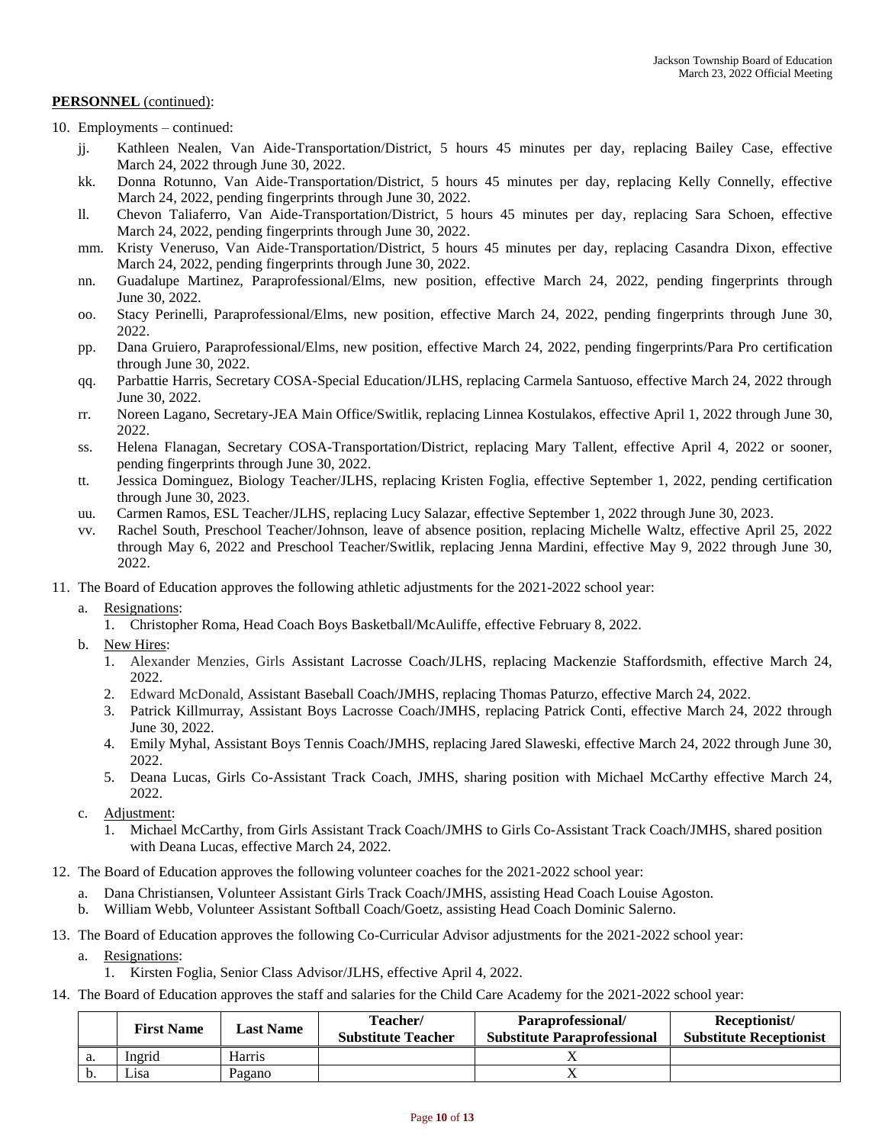- 10. Employments continued:
	- jj. Kathleen Nealen, Van Aide-Transportation/District, 5 hours 45 minutes per day, replacing Bailey Case, effective March 24, 2022 through June 30, 2022.
	- kk. Donna Rotunno, Van Aide-Transportation/District, 5 hours 45 minutes per day, replacing Kelly Connelly, effective March 24, 2022, pending fingerprints through June 30, 2022.
	- ll. Chevon Taliaferro, Van Aide-Transportation/District, 5 hours 45 minutes per day, replacing Sara Schoen, effective March 24, 2022, pending fingerprints through June 30, 2022.
	- mm. Kristy Veneruso, Van Aide-Transportation/District, 5 hours 45 minutes per day, replacing Casandra Dixon, effective March 24, 2022, pending fingerprints through June 30, 2022.
	- nn. Guadalupe Martinez, Paraprofessional/Elms, new position, effective March 24, 2022, pending fingerprints through June 30, 2022.
	- oo. Stacy Perinelli, Paraprofessional/Elms, new position, effective March 24, 2022, pending fingerprints through June 30, 2022.
	- pp. Dana Gruiero, Paraprofessional/Elms, new position, effective March 24, 2022, pending fingerprints/Para Pro certification through June 30, 2022.
	- qq. Parbattie Harris, Secretary COSA-Special Education/JLHS, replacing Carmela Santuoso, effective March 24, 2022 through June 30, 2022.
	- rr. Noreen Lagano, Secretary-JEA Main Office/Switlik, replacing Linnea Kostulakos, effective April 1, 2022 through June 30, 2022.
	- ss. Helena Flanagan, Secretary COSA-Transportation/District, replacing Mary Tallent, effective April 4, 2022 or sooner, pending fingerprints through June 30, 2022.
	- tt. Jessica Dominguez, Biology Teacher/JLHS, replacing Kristen Foglia, effective September 1, 2022, pending certification through June 30, 2023.
	- uu. Carmen Ramos, ESL Teacher/JLHS, replacing Lucy Salazar, effective September 1, 2022 through June 30, 2023.
	- vv. Rachel South, Preschool Teacher/Johnson, leave of absence position, replacing Michelle Waltz, effective April 25, 2022 through May 6, 2022 and Preschool Teacher/Switlik, replacing Jenna Mardini, effective May 9, 2022 through June 30, 2022.
- 11. The Board of Education approves the following athletic adjustments for the 2021-2022 school year:
	- a. Resignations:
		- 1. Christopher Roma, Head Coach Boys Basketball/McAuliffe, effective February 8, 2022.
	- b. New Hires:
		- 1. Alexander Menzies, Girls Assistant Lacrosse Coach/JLHS, replacing Mackenzie Staffordsmith, effective March 24, 2022.
		- 2. Edward McDonald, Assistant Baseball Coach/JMHS, replacing Thomas Paturzo, effective March 24, 2022.
		- 3. Patrick Killmurray, Assistant Boys Lacrosse Coach/JMHS, replacing Patrick Conti, effective March 24, 2022 through June 30, 2022.
		- 4. Emily Myhal, Assistant Boys Tennis Coach/JMHS, replacing Jared Slaweski, effective March 24, 2022 through June 30, 2022.
		- 5. Deana Lucas, Girls Co-Assistant Track Coach, JMHS, sharing position with Michael McCarthy effective March 24, 2022.
	- c. Adjustment:
		- 1. Michael McCarthy, from Girls Assistant Track Coach/JMHS to Girls Co-Assistant Track Coach/JMHS, shared position with Deana Lucas, effective March 24, 2022.
- 12. The Board of Education approves the following volunteer coaches for the 2021-2022 school year:
	- a. Dana Christiansen, Volunteer Assistant Girls Track Coach/JMHS, assisting Head Coach Louise Agoston.
	- b. William Webb, Volunteer Assistant Softball Coach/Goetz, assisting Head Coach Dominic Salerno.
- 13. The Board of Education approves the following Co-Curricular Advisor adjustments for the 2021-2022 school year:
	- a. Resignations: 1. Kirsten Foglia, Senior Class Advisor/JLHS, effective April 4, 2022.
- 14. The Board of Education approves the staff and salaries for the Child Care Academy for the 2021-2022 school year:

|    | <b>First Name</b> | Last Name | Teacher/<br><b>Substitute Teacher</b> | Paraprofessional/<br><b>Substitute Paraprofessional</b> | Receptionist/<br><b>Substitute Receptionist</b> |
|----|-------------------|-----------|---------------------------------------|---------------------------------------------------------|-------------------------------------------------|
| a. | Ingrid            | Harris    |                                       |                                                         |                                                 |
| υ. | ∟ısa              | Pagano    |                                       |                                                         |                                                 |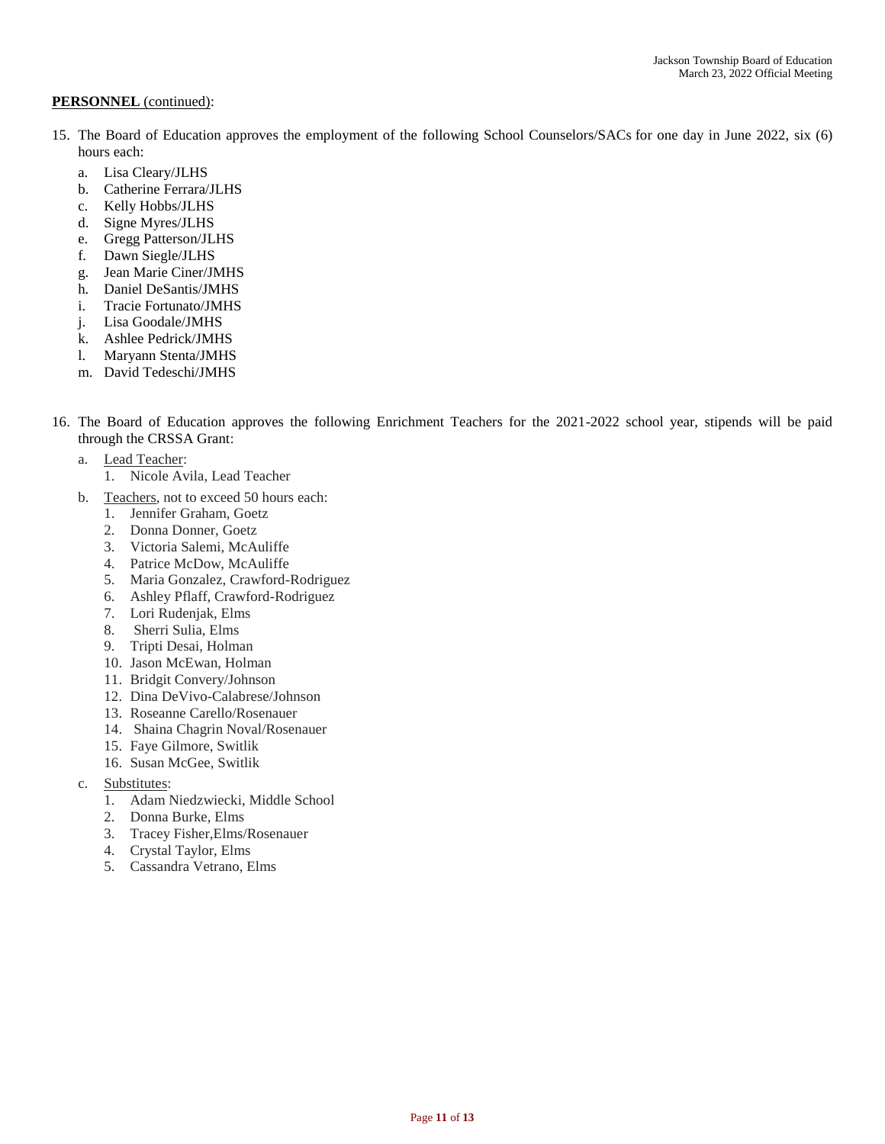- 15. The Board of Education approves the employment of the following School Counselors/SACs for one day in June 2022, six (6) hours each:
	- a. Lisa Cleary/JLHS
	- b. Catherine Ferrara/JLHS
	- c. Kelly Hobbs/JLHS
	- d. Signe Myres/JLHS
	- e. Gregg Patterson/JLHS
	- f. Dawn Siegle/JLHS
	- g. Jean Marie Ciner/JMHS
	- h. Daniel DeSantis/JMHS
	- i. Tracie Fortunato/JMHS
	- j. Lisa Goodale/JMHS
	- k. Ashlee Pedrick/JMHS
	- l. Maryann Stenta/JMHS
	- m. David Tedeschi/JMHS
- 16. The Board of Education approves the following Enrichment Teachers for the 2021-2022 school year, stipends will be paid through the CRSSA Grant:
	- a. Lead Teacher:
		- 1. Nicole Avila, Lead Teacher
	- b. Teachers, not to exceed 50 hours each:
		- 1. Jennifer Graham, Goetz
		- 2. Donna Donner, Goetz
		- 3. Victoria Salemi, McAuliffe
		- 4. Patrice McDow, McAuliffe
		- 5. Maria Gonzalez, Crawford-Rodriguez
		- 6. Ashley Pflaff, Crawford-Rodriguez
		- 7. Lori Rudenjak, Elms
		- 8. Sherri Sulia, Elms
		- 9. Tripti Desai, Holman
		- 10. Jason McEwan, Holman
		- 11. Bridgit Convery/Johnson
		- 12. Dina DeVivo-Calabrese/Johnson
		- 13. Roseanne Carello/Rosenauer
		- 14. Shaina Chagrin Noval/Rosenauer
		- 15. Faye Gilmore, Switlik
		- 16. Susan McGee, Switlik
	- c. Substitutes:
		- 1. Adam Niedzwiecki, Middle School
		- 2. Donna Burke, Elms
		- 3. Tracey Fisher,Elms/Rosenauer
		- 4. Crystal Taylor, Elms
		- 5. Cassandra Vetrano, Elms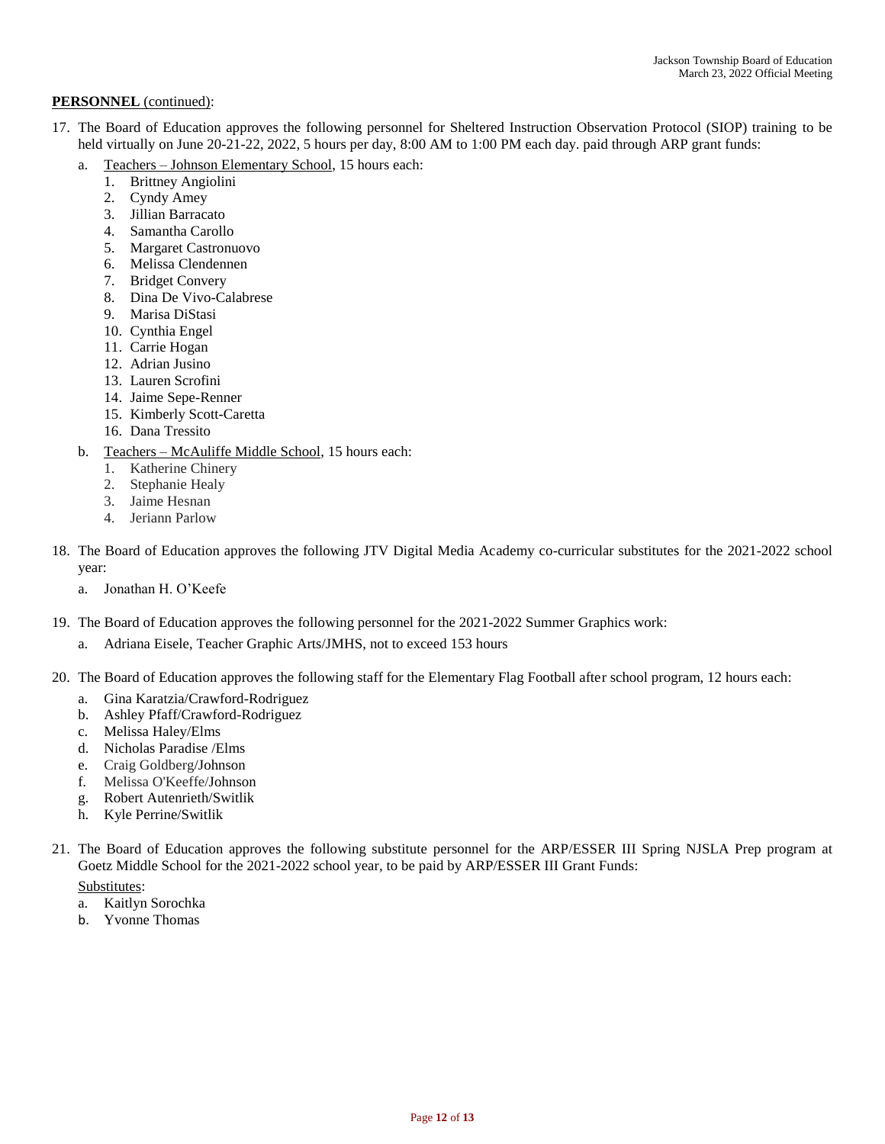- 17. The Board of Education approves the following personnel for Sheltered Instruction Observation Protocol (SIOP) training to be held virtually on June 20-21-22, 2022, 5 hours per day, 8:00 AM to 1:00 PM each day. paid through ARP grant funds:
	- a. Teachers Johnson Elementary School, 15 hours each:
		- 1. Brittney Angiolini
		- 2. Cyndy Amey
		- 3. Jillian Barracato
		- 4. Samantha Carollo
		- 5. Margaret Castronuovo
		- 6. Melissa Clendennen
		- 7. Bridget Convery
		- 8. Dina De Vivo-Calabrese
		- 9. Marisa DiStasi
		- 10. Cynthia Engel
		- 11. Carrie Hogan
		- 12. Adrian Jusino
		- 13. Lauren Scrofini
		- 14. Jaime Sepe-Renner
		- 15. Kimberly Scott-Caretta
		- 16. Dana Tressito
	- b. Teachers McAuliffe Middle School, 15 hours each:
		- 1. Katherine Chinery
		- 2. Stephanie Healy
		- 3. Jaime Hesnan
		- 4. Jeriann Parlow
- 18. The Board of Education approves the following JTV Digital Media Academy co-curricular substitutes for the 2021-2022 school year:
	- a. Jonathan H. O'Keefe
- 19. The Board of Education approves the following personnel for the 2021-2022 Summer Graphics work:
	- a. Adriana Eisele, Teacher Graphic Arts/JMHS, not to exceed 153 hours
- 20. The Board of Education approves the following staff for the Elementary Flag Football after school program, 12 hours each:
	- a. Gina Karatzia/Crawford-Rodriguez
	- b. Ashley Pfaff/Crawford-Rodriguez
	- c. Melissa Haley/Elms
	- d. Nicholas Paradise /Elms
	- e. Craig Goldberg/Johnson
	- f. Melissa O'Keeffe/Johnson
	- g. Robert Autenrieth/Switlik
	- h. Kyle Perrine/Switlik
- 21. The Board of Education approves the following substitute personnel for the ARP/ESSER III Spring NJSLA Prep program at Goetz Middle School for the 2021-2022 school year, to be paid by ARP/ESSER III Grant Funds:

# Substitutes:

- a. Kaitlyn Sorochka
- b. Yvonne Thomas